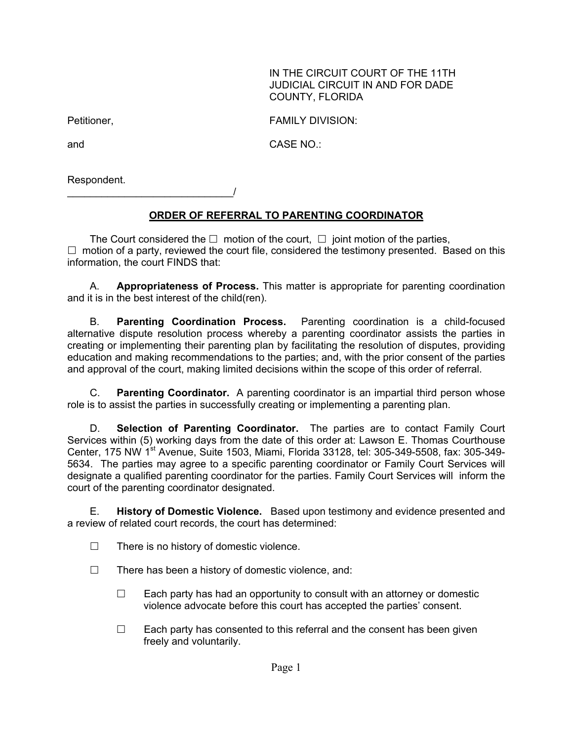IN THE CIRCUIT COURT OF THE 11TH JUDICIAL CIRCUIT IN AND FOR DADE COUNTY, FLORIDA

Petitioner, FAMILY DIVISION:

and CASE NO.:

Respondent. \_\_\_\_\_\_\_\_\_\_\_\_\_\_\_\_\_\_\_\_\_\_\_\_\_\_\_\_\_/

## **ORDER OF REFERRAL TO PARENTING COORDINATOR**

The Court considered the  $\Box$  motion of the court,  $\Box$  joint motion of the parties,  $\Box$  motion of a party, reviewed the court file, considered the testimony presented. Based on this information, the court FINDS that:

 A. **Appropriateness of Process.** This matter is appropriate for parenting coordination and it is in the best interest of the child(ren).

 B. **Parenting Coordination Process.** Parenting coordination is a child-focused alternative dispute resolution process whereby a parenting coordinator assists the parties in creating or implementing their parenting plan by facilitating the resolution of disputes, providing education and making recommendations to the parties; and, with the prior consent of the parties and approval of the court, making limited decisions within the scope of this order of referral.

 C. **Parenting Coordinator.** A parenting coordinator is an impartial third person whose role is to assist the parties in successfully creating or implementing a parenting plan.

 D. **Selection of Parenting Coordinator.** The parties are to contact Family Court Services within (5) working days from the date of this order at: Lawson E. Thomas Courthouse Center, 175 NW 1<sup>st</sup> Avenue, Suite 1503, Miami, Florida 33128, tel: 305-349-5508, fax: 305-349-5634. The parties may agree to a specific parenting coordinator or Family Court Services will designate a qualified parenting coordinator for the parties. Family Court Services will inform the court of the parenting coordinator designated.

 E. **History of Domestic Violence.** Based upon testimony and evidence presented and a review of related court records, the court has determined:

 $\Box$  There is no history of domestic violence.

 $\Box$  There has been a history of domestic violence, and:

- $\Box$  Each party has had an opportunity to consult with an attorney or domestic violence advocate before this court has accepted the parties' consent.
- $\Box$  Each party has consented to this referral and the consent has been given freely and voluntarily.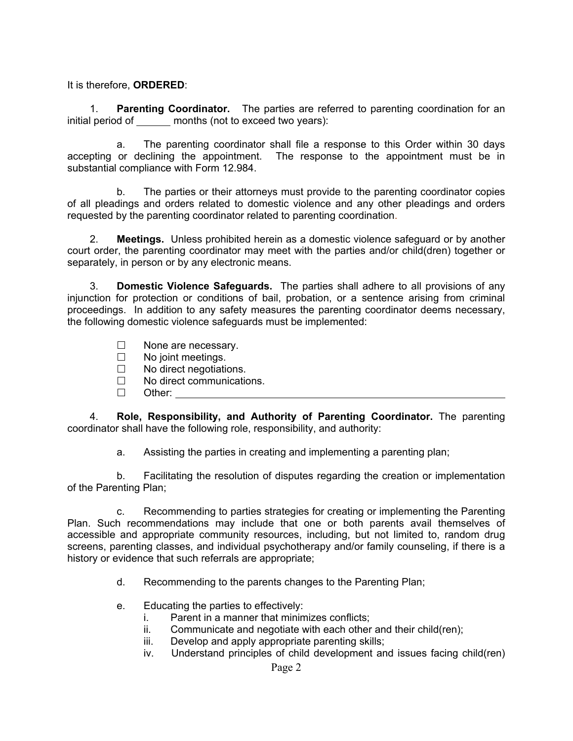It is therefore, **ORDERED**:

 1. **Parenting Coordinator.** The parties are referred to parenting coordination for an initial period of months (not to exceed two years):

 a. The parenting coordinator shall file a response to this Order within 30 days accepting or declining the appointment. The response to the appointment must be in substantial compliance with Form 12.984.

 b. The parties or their attorneys must provide to the parenting coordinator copies of all pleadings and orders related to domestic violence and any other pleadings and orders requested by the parenting coordinator related to parenting coordination.

 2. **Meetings.** Unless prohibited herein as a domestic violence safeguard or by another court order, the parenting coordinator may meet with the parties and/or child(dren) together or separately, in person or by any electronic means.

3. **Domestic Violence Safeguards.** The parties shall adhere to all provisions of any injunction for protection or conditions of bail, probation, or a sentence arising from criminal proceedings. In addition to any safety measures the parenting coordinator deems necessary, the following domestic violence safeguards must be implemented:

- □ None are necessary.
- $\Box$  No joint meetings.
- $\Box$  No direct negotiations.<br> $\Box$  No direct communication
- No direct communications.
- □ Other:

 4. **Role, Responsibility, and Authority of Parenting Coordinator.** The parenting coordinator shall have the following role, responsibility, and authority:

a. Assisting the parties in creating and implementing a parenting plan;

 b. Facilitating the resolution of disputes regarding the creation or implementation of the Parenting Plan;

 c. Recommending to parties strategies for creating or implementing the Parenting Plan. Such recommendations may include that one or both parents avail themselves of accessible and appropriate community resources, including, but not limited to, random drug screens, parenting classes, and individual psychotherapy and/or family counseling, if there is a history or evidence that such referrals are appropriate;

- d. Recommending to the parents changes to the Parenting Plan;
- e. Educating the parties to effectively:
	- i. Parent in a manner that minimizes conflicts;
	- ii. Communicate and negotiate with each other and their child(ren);
	- iii. Develop and apply appropriate parenting skills;
	- iv. Understand principles of child development and issues facing child(ren)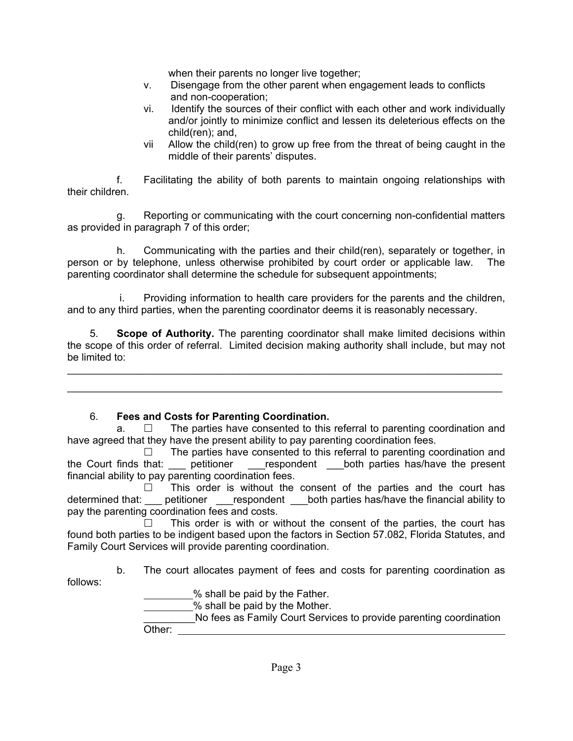when their parents no longer live together;

- v. Disengage from the other parent when engagement leads to conflicts and non-cooperation;
- vi. Identify the sources of their conflict with each other and work individually and/or jointly to minimize conflict and lessen its deleterious effects on the child(ren); and,
- vii Allow the child(ren) to grow up free from the threat of being caught in the middle of their parents' disputes.

 f. Facilitating the ability of both parents to maintain ongoing relationships with their children.

 g. Reporting or communicating with the court concerning non-confidential matters as provided in paragraph 7 of this order;

 h. Communicating with the parties and their child(ren), separately or together, in person or by telephone, unless otherwise prohibited by court order or applicable law. The parenting coordinator shall determine the schedule for subsequent appointments;

 i. Providing information to health care providers for the parents and the children, and to any third parties, when the parenting coordinator deems it is reasonably necessary.

 5. **Scope of Authority.** The parenting coordinator shall make limited decisions within the scope of this order of referral. Limited decision making authority shall include, but may not be limited to:

\_\_\_\_\_\_\_\_\_\_\_\_\_\_\_\_\_\_\_\_\_\_\_\_\_\_\_\_\_\_\_\_\_\_\_\_\_\_\_\_\_\_\_\_\_\_\_\_\_\_\_\_\_\_\_\_\_\_\_\_\_\_\_\_\_\_\_\_\_\_\_\_\_\_\_\_ \_\_\_\_\_\_\_\_\_\_\_\_\_\_\_\_\_\_\_\_\_\_\_\_\_\_\_\_\_\_\_\_\_\_\_\_\_\_\_\_\_\_\_\_\_\_\_\_\_\_\_\_\_\_\_\_\_\_\_\_\_\_\_\_\_\_\_\_\_\_\_\_\_\_\_\_

## 6. **Fees and Costs for Parenting Coordination.**

a.  $\Box$  The parties have consented to this referral to parenting coordination and have agreed that they have the present ability to pay parenting coordination fees.

 $\Box$  The parties have consented to this referral to parenting coordination and the Court finds that: petitioner respondent both parties has/have the present  $t$  respondent  $\Box$  both parties has/have the present financial ability to pay parenting coordination fees.

 $\Box$  This order is without the consent of the parties and the court has determined that: \_\_\_ petitioner \_\_\_respondent \_\_\_both parties has/have the financial ability to pay the parenting coordination fees and costs.

 $\Box$  This order is with or without the consent of the parties, the court has found both parties to be indigent based upon the factors in Section 57.082, Florida Statutes, and Family Court Services will provide parenting coordination.

 b. The court allocates payment of fees and costs for parenting coordination as follows:

 % shall be paid by the Father. % shall be paid by the Mother. \_\_\_\_\_\_\_\_\_No fees as Family Court Services to provide parenting coordination Other: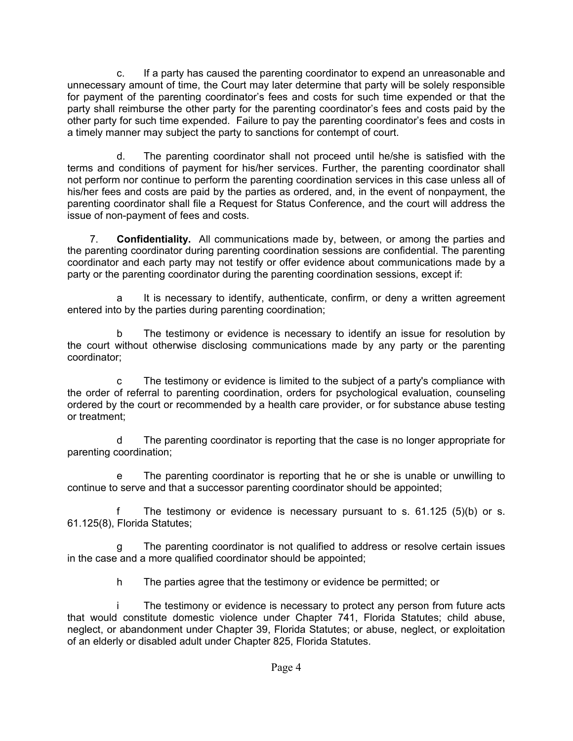c. If a party has caused the parenting coordinator to expend an unreasonable and unnecessary amount of time, the Court may later determine that party will be solely responsible for payment of the parenting coordinator's fees and costs for such time expended or that the party shall reimburse the other party for the parenting coordinator's fees and costs paid by the other party for such time expended. Failure to pay the parenting coordinator's fees and costs in a timely manner may subject the party to sanctions for contempt of court.

 d. The parenting coordinator shall not proceed until he/she is satisfied with the terms and conditions of payment for his/her services. Further, the parenting coordinator shall not perform nor continue to perform the parenting coordination services in this case unless all of his/her fees and costs are paid by the parties as ordered, and, in the event of nonpayment, the parenting coordinator shall file a Request for Status Conference, and the court will address the issue of non-payment of fees and costs.

 7. **Confidentiality.** All communications made by, between, or among the parties and the parenting coordinator during parenting coordination sessions are confidential. The parenting coordinator and each party may not testify or offer evidence about communications made by a party or the parenting coordinator during the parenting coordination sessions, except if:

 a It is necessary to identify, authenticate, confirm, or deny a written agreement entered into by the parties during parenting coordination;

 b The testimony or evidence is necessary to identify an issue for resolution by the court without otherwise disclosing communications made by any party or the parenting coordinator;

 c The testimony or evidence is limited to the subject of a party's compliance with the order of referral to parenting coordination, orders for psychological evaluation, counseling ordered by the court or recommended by a health care provider, or for substance abuse testing or treatment;

 d The parenting coordinator is reporting that the case is no longer appropriate for parenting coordination;

 e The parenting coordinator is reporting that he or she is unable or unwilling to continue to serve and that a successor parenting coordinator should be appointed;

The testimony or evidence is necessary pursuant to s.  $61.125$  (5)(b) or s. 61.125(8), Florida Statutes;

 g The parenting coordinator is not qualified to address or resolve certain issues in the case and a more qualified coordinator should be appointed;

h The parties agree that the testimony or evidence be permitted; or

The testimony or evidence is necessary to protect any person from future acts that would constitute domestic violence under Chapter 741, Florida Statutes; child abuse, neglect, or abandonment under Chapter 39, Florida Statutes; or abuse, neglect, or exploitation of an elderly or disabled adult under Chapter 825, Florida Statutes.